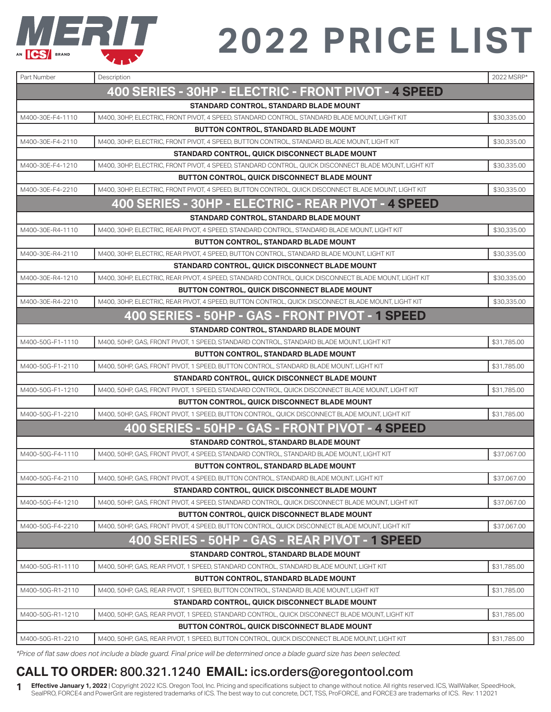

| Part Number      | Description                                                                                           | 2022 MSRP*  |
|------------------|-------------------------------------------------------------------------------------------------------|-------------|
|                  | 400 SERIES - 30HP - ELECTRIC - FRONT PIVOT - 4 SPEED                                                  |             |
|                  | STANDARD CONTROL, STANDARD BLADE MOUNT                                                                |             |
| M400-30E-F4-1110 | M400, 30HP, ELECTRIC, FRONT PIVOT, 4 SPEED, STANDARD CONTROL, STANDARD BLADE MOUNT, LIGHT KIT         | \$30,335.00 |
|                  | <b>BUTTON CONTROL, STANDARD BLADE MOUNT</b>                                                           |             |
| M400-30E-F4-2110 | M400, 30HP, ELECTRIC, FRONT PIVOT, 4 SPEED, BUTTON CONTROL, STANDARD BLADE MOUNT, LIGHT KIT           | \$30,335.00 |
|                  | STANDARD CONTROL, QUICK DISCONNECT BLADE MOUNT                                                        |             |
| M400-30E-F4-1210 | M400, 30HP, ELECTRIC, FRONT PIVOT, 4 SPEED, STANDARD CONTROL, QUICK DISCONNECT BLADE MOUNT, LIGHT KIT | \$30,335.00 |
|                  | <b>BUTTON CONTROL, QUICK DISCONNECT BLADE MOUNT</b>                                                   |             |
| M400-30E-F4-2210 | M400, 30HP, ELECTRIC, FRONT PIVOT, 4 SPEED, BUTTON CONTROL, QUICK DISCONNECT BLADE MOUNT, LIGHT KIT   | \$30,335.00 |
|                  | 400 SERIES - 30HP - ELECTRIC - REAR PIVOT - 4 SPEED                                                   |             |
|                  | STANDARD CONTROL, STANDARD BLADE MOUNT                                                                |             |
| M400-30E-R4-1110 | M400, 30HP, ELECTRIC, REAR PIVOT, 4 SPEED, STANDARD CONTROL, STANDARD BLADE MOUNT, LIGHT KIT          | \$30,335.00 |
|                  | <b>BUTTON CONTROL, STANDARD BLADE MOUNT</b>                                                           |             |
| M400-30E-R4-2110 | M400, 30HP, ELECTRIC, REAR PIVOT, 4 SPEED, BUTTON CONTROL, STANDARD BLADE MOUNT, LIGHT KIT            | \$30,335.00 |
|                  | STANDARD CONTROL, QUICK DISCONNECT BLADE MOUNT                                                        |             |
| M400-30E-R4-1210 | M400, 30HP, ELECTRIC, REAR PIVOT, 4 SPEED, STANDARD CONTROL, QUICK DISCONNECT BLADE MOUNT, LIGHT KIT  | \$30,335.00 |
|                  | <b>BUTTON CONTROL, QUICK DISCONNECT BLADE MOUNT</b>                                                   |             |
| M400-30E-R4-2210 | M400, 30HP, ELECTRIC, REAR PIVOT, 4 SPEED, BUTTON CONTROL, QUICK DISCONNECT BLADE MOUNT, LIGHT KIT    | \$30,335.00 |
|                  | 400 SERIES - 50HP - GAS - FRONT PIVOT - 1 SPEED                                                       |             |
|                  | STANDARD CONTROL, STANDARD BLADE MOUNT                                                                |             |
| M400-50G-F1-1110 | M400, 50HP, GAS, FRONT PIVOT, 1 SPEED, STANDARD CONTROL, STANDARD BLADE MOUNT, LIGHT KIT              | \$31,785.00 |
|                  | <b>BUTTON CONTROL, STANDARD BLADE MOUNT</b>                                                           |             |
| M400-50G-F1-2110 | M400, 50HP, GAS, FRONT PIVOT, 1 SPEED, BUTTON CONTROL, STANDARD BLADE MOUNT, LIGHT KIT                | \$31,785.00 |
|                  | STANDARD CONTROL, QUICK DISCONNECT BLADE MOUNT                                                        |             |
| M400-50G-F1-1210 | M400, 50HP, GAS, FRONT PIVOT, 1 SPEED, STANDARD CONTROL, QUICK DISCONNECT BLADE MOUNT, LIGHT KIT      | \$31,785.00 |
|                  | <b>BUTTON CONTROL, QUICK DISCONNECT BLADE MOUNT</b>                                                   |             |
| M400-50G-F1-2210 | M400, 50HP, GAS, FRONT PIVOT, 1 SPEED, BUTTON CONTROL, QUICK DISCONNECT BLADE MOUNT, LIGHT KIT        | \$31,785.00 |
|                  | 400 SERIES - 50HP - GAS - FRONT PIVOT - 4 SPEED                                                       |             |
|                  | STANDARD CONTROL, STANDARD BLADE MOUNT                                                                |             |
| M400-50G-F4-1110 | M400, 50HP, GAS, FRONT PIVOT, 4 SPEED, STANDARD CONTROL, STANDARD BLADE MOUNT, LIGHT KIT              | \$37,067.00 |
|                  | <b>BUTTON CONTROL, STANDARD BLADE MOUNT</b>                                                           |             |
| M400-50G-F4-2110 | M400, 50HP, GAS, FRONT PIVOT, 4 SPEED, BUTTON CONTROL, STANDARD BLADE MOUNT, LIGHT KIT                | \$37,067.00 |
|                  | STANDARD CONTROL, QUICK DISCONNECT BLADE MOUNT                                                        |             |
| M400-50G-F4-1210 | M400, 50HP, GAS, FRONT PIVOT, 4 SPEED, STANDARD CONTROL, QUICK DISCONNECT BLADE MOUNT, LIGHT KIT      | \$37,067.00 |
|                  | <b>BUTTON CONTROL, QUICK DISCONNECT BLADE MOUNT</b>                                                   |             |
| M400-50G-F4-2210 | M400, 50HP, GAS, FRONT PIVOT, 4 SPEED, BUTTON CONTROL, QUICK DISCONNECT BLADE MOUNT, LIGHT KIT        | \$37,067.00 |
|                  | 400 SERIES - 50HP - GAS - REAR PIVOT - 1 SPEED                                                        |             |
|                  | <b>STANDARD CONTROL, STANDARD BLADE MOUNT</b>                                                         |             |
| M400-50G-R1-1110 | M400, 50HP, GAS, REAR PIVOT, 1 SPEED, STANDARD CONTROL, STANDARD BLADE MOUNT, LIGHT KIT               | \$31,785.00 |
|                  | <b>BUTTON CONTROL, STANDARD BLADE MOUNT</b>                                                           |             |
| M400-50G-R1-2110 | M400, 50HP, GAS, REAR PIVOT, 1 SPEED, BUTTON CONTROL, STANDARD BLADE MOUNT, LIGHT KIT                 | \$31,785.00 |
|                  | STANDARD CONTROL, QUICK DISCONNECT BLADE MOUNT                                                        |             |
| M400-50G-R1-1210 | M400, 50HP, GAS, REAR PIVOT, 1 SPEED, STANDARD CONTROL, QUICK DISCONNECT BLADE MOUNT, LIGHT KIT       | \$31,785.00 |
|                  | <b>BUTTON CONTROL, QUICK DISCONNECT BLADE MOUNT</b>                                                   |             |
| M400-50G-R1-2210 | M400, 50HP, GAS, REAR PIVOT, 1 SPEED, BUTTON CONTROL, QUICK DISCONNECT BLADE MOUNT, LIGHT KIT         | \$31,785.00 |

*\*Price of flat saw does not include a blade guard. Final price will be determined once a blade guard size has been selected.* 

### **CALL TO ORDER:** 800.321.1240 **EMAIL:** ics.orders@oregontool.com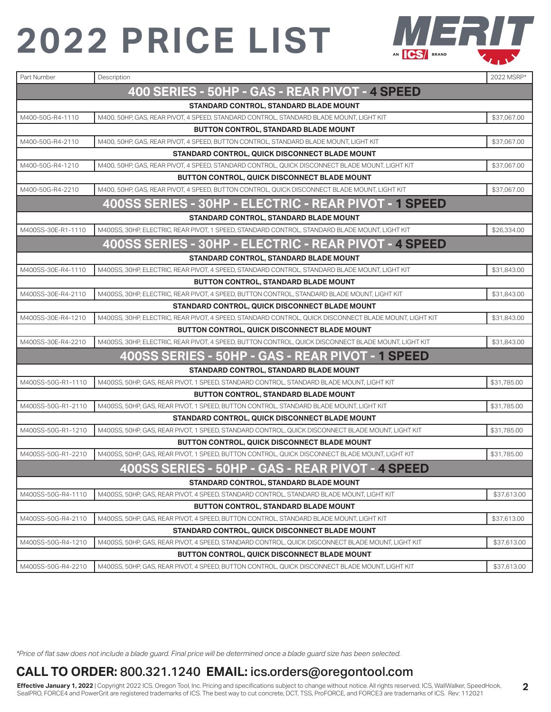

| Part Number        | Description                                                                                            | 2022 MSRP*  |
|--------------------|--------------------------------------------------------------------------------------------------------|-------------|
|                    | 400 SERIES - 50HP - GAS - REAR PIVOT - 4 SPEED                                                         |             |
|                    | STANDARD CONTROL, STANDARD BLADE MOUNT                                                                 |             |
| M400-50G-R4-1110   | M400, 50HP, GAS, REAR PIVOT, 4 SPEED, STANDARD CONTROL, STANDARD BLADE MOUNT, LIGHT KIT                | \$37,067.00 |
|                    | BUTTON CONTROL, STANDARD BLADE MOUNT                                                                   |             |
| M400-50G-R4-2110   | M400, 50HP, GAS, REAR PIVOT, 4 SPEED, BUTTON CONTROL, STANDARD BLADE MOUNT, LIGHT KIT                  | \$37,067.00 |
|                    | STANDARD CONTROL, QUICK DISCONNECT BLADE MOUNT                                                         |             |
| M400-50G-R4-1210   | M400, 50HP, GAS, REAR PIVOT, 4 SPEED, STANDARD CONTROL, QUICK DISCONNECT BLADE MOUNT, LIGHT KIT        | \$37,067.00 |
|                    | <b>BUTTON CONTROL, QUICK DISCONNECT BLADE MOUNT</b>                                                    |             |
| M400-50G-R4-2210   | M400, 50HP, GAS, REAR PIVOT, 4 SPEED, BUTTON CONTROL, QUICK DISCONNECT BLADE MOUNT, LIGHT KIT          | \$37,067.00 |
|                    | 400SS SERIES - 30HP - ELECTRIC - REAR PIVOT - 1 SPEED                                                  |             |
|                    | STANDARD CONTROL, STANDARD BLADE MOUNT                                                                 |             |
| M400SS-30E-R1-1110 | M400SS, 30HP, ELECTRIC, REAR PIVOT, 1 SPEED, STANDARD CONTROL, STANDARD BLADE MOUNT, LIGHT KIT         | \$26,334.00 |
|                    | 400SS SERIES - 30HP - ELECTRIC - REAR PIVOT - 4 SPEED                                                  |             |
|                    | <b>STANDARD CONTROL, STANDARD BLADE MOUNT</b>                                                          |             |
| M400SS-30E-R4-1110 | M400SS, 30HP, ELECTRIC, REAR PIVOT, 4 SPEED, STANDARD CONTROL, STANDARD BLADE MOUNT, LIGHT KIT         | \$31,843.00 |
|                    | <b>BUTTON CONTROL, STANDARD BLADE MOUNT</b>                                                            |             |
| M400SS-30E-R4-2110 | M400SS, 30HP, ELECTRIC, REAR PIVOT, 4 SPEED, BUTTON CONTROL, STANDARD BLADE MOUNT, LIGHT KIT           | \$31,843.00 |
|                    | <b>STANDARD CONTROL, QUICK DISCONNECT BLADE MOUNT</b>                                                  |             |
| M400SS-30E-R4-1210 | M400SS, 30HP, ELECTRIC, REAR PIVOT, 4 SPEED, STANDARD CONTROL, QUICK DISCONNECT BLADE MOUNT, LIGHT KIT | \$31,843.00 |
|                    | <b>BUTTON CONTROL, QUICK DISCONNECT BLADE MOUNT</b>                                                    |             |
| M400SS-30E-R4-2210 | M400SS, 30HP, ELECTRIC, REAR PIVOT, 4 SPEED, BUTTON CONTROL, QUICK DISCONNECT BLADE MOUNT, LIGHT KIT   | \$31,843.00 |
|                    | 400SS SERIES - 50HP - GAS - REAR PIVOT - 1 SPEED                                                       |             |
|                    | STANDARD CONTROL, STANDARD BLADE MOUNT                                                                 |             |
| M400SS-50G-R1-1110 | M400SS, 50HP, GAS, REAR PIVOT, 1 SPEED, STANDARD CONTROL, STANDARD BLADE MOUNT, LIGHT KIT              | \$31,785.00 |
|                    | <b>BUTTON CONTROL, STANDARD BLADE MOUNT</b>                                                            |             |
| M400SS-50G-R1-2110 | M400SS, 50HP, GAS, REAR PIVOT, 1 SPEED, BUTTON CONTROL, STANDARD BLADE MOUNT, LIGHT KIT                | \$31,785.00 |
|                    | STANDARD CONTROL, QUICK DISCONNECT BLADE MOUNT                                                         |             |
| M400SS-50G-R1-1210 | M400SS, 50HP, GAS, REAR PIVOT, 1 SPEED, STANDARD CONTROL, QUICK DISCONNECT BLADE MOUNT, LIGHT KIT      | \$31,785.00 |
|                    | <b>BUTTON CONTROL, QUICK DISCONNECT BLADE MOUNT</b>                                                    |             |
| M400SS-50G-R1-2210 | M400SS, 50HP, GAS, REAR PIVOT, 1 SPEED, BUTTON CONTROL, QUICK DISCONNECT BLADE MOUNT, LIGHT KIT        | \$31,785.00 |
|                    | 400SS SERIES - 50HP - GAS - REAR PIVOT - 4 SPEED                                                       |             |
|                    | STANDARD CONTROL, STANDARD BLADE MOUNT                                                                 |             |
| M400SS-50G-R4-1110 | M400SS, 50HP, GAS, REAR PIVOT, 4 SPEED, STANDARD CONTROL, STANDARD BLADE MOUNT, LIGHT KIT              | \$37,613.00 |
|                    | <b>BUTTON CONTROL, STANDARD BLADE MOUNT</b>                                                            |             |
| M400SS-50G-R4-2110 | M400SS, 50HP, GAS, REAR PIVOT, 4 SPEED, BUTTON CONTROL, STANDARD BLADE MOUNT, LIGHT KIT                | \$37,613.00 |
|                    | STANDARD CONTROL, QUICK DISCONNECT BLADE MOUNT                                                         |             |
| M400SS-50G-R4-1210 | M400SS, 50HP, GAS, REAR PIVOT, 4 SPEED, STANDARD CONTROL, QUICK DISCONNECT BLADE MOUNT, LIGHT KIT      | \$37,613.00 |
|                    | <b>BUTTON CONTROL, QUICK DISCONNECT BLADE MOUNT</b>                                                    |             |
| M400SS-50G-R4-2210 | M400SS, 50HP, GAS, REAR PIVOT, 4 SPEED, BUTTON CONTROL, QUICK DISCONNECT BLADE MOUNT, LIGHT KIT        | \$37,613.00 |

*\*Price of flat saw does not include a blade guard. Final price will be determined once a blade guard size has been selected.* 

#### **CALL TO ORDER:** 800.321.1240 **EMAIL:** ics.orders@oregontool.com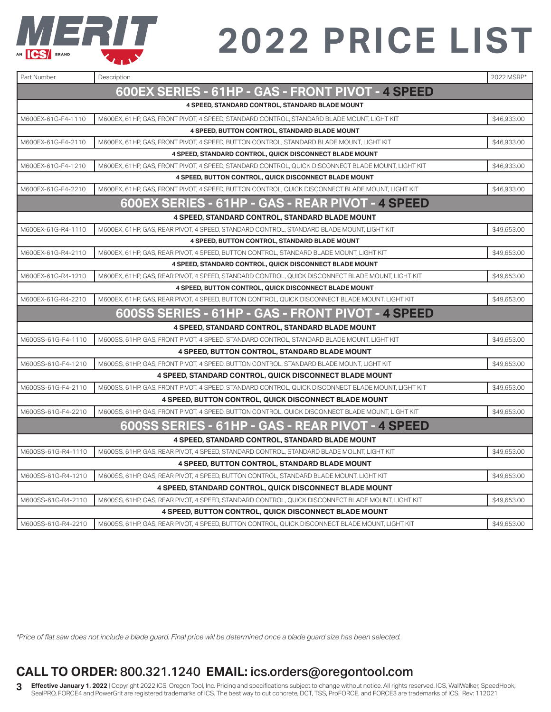

| Part Number        | Description                                                                                        | 2022 MSRP*  |
|--------------------|----------------------------------------------------------------------------------------------------|-------------|
|                    | 600EX SERIES - 61HP - GAS - FRONT PIVOT - 4 SPEED                                                  |             |
|                    | 4 SPEED, STANDARD CONTROL, STANDARD BLADE MOUNT                                                    |             |
| M600EX-61G-F4-1110 | M600EX, 61HP, GAS, FRONT PIVOT, 4 SPEED, STANDARD CONTROL, STANDARD BLADE MOUNT, LIGHT KIT         | \$46,933.00 |
|                    | 4 SPEED, BUTTON CONTROL, STANDARD BLADE MOUNT                                                      |             |
| M600EX-61G-F4-2110 | M600EX, 61HP, GAS, FRONT PIVOT, 4 SPEED, BUTTON CONTROL, STANDARD BLADE MOUNT, LIGHT KIT           | \$46,933.00 |
|                    | <b>4 SPEED, STANDARD CONTROL, QUICK DISCONNECT BLADE MOUNT</b>                                     |             |
| M600EX-61G-F4-1210 | M600EX, 61HP, GAS, FRONT PIVOT, 4 SPEED, STANDARD CONTROL, QUICK DISCONNECT BLADE MOUNT, LIGHT KIT | \$46,933.00 |
|                    | <b>4 SPEED, BUTTON CONTROL, QUICK DISCONNECT BLADE MOUNT</b>                                       |             |
| M600EX-61G-F4-2210 | M600EX, 61HP, GAS, FRONT PIVOT, 4 SPEED, BUTTON CONTROL, QUICK DISCONNECT BLADE MOUNT, LIGHT KIT   | \$46,933.00 |
|                    | 600EX SERIES - 61HP - GAS - REAR PIVOT - 4 SPEED                                                   |             |
|                    | <b>4 SPEED, STANDARD CONTROL, STANDARD BLADE MOUNT</b>                                             |             |
| M600EX-61G-R4-1110 | M600EX, 61HP, GAS, REAR PIVOT, 4 SPEED, STANDARD CONTROL, STANDARD BLADE MOUNT, LIGHT KIT          | \$49,653.00 |
|                    | 4 SPEED, BUTTON CONTROL, STANDARD BLADE MOUNT                                                      |             |
| M600EX-61G-R4-2110 | M600EX, 61HP, GAS, REAR PIVOT, 4 SPEED, BUTTON CONTROL, STANDARD BLADE MOUNT, LIGHT KIT            | \$49,653.00 |
|                    | <b>4 SPEED, STANDARD CONTROL, QUICK DISCONNECT BLADE MOUNT</b>                                     |             |
| M600EX-61G-R4-1210 | M600EX, 61HP, GAS, REAR PIVOT, 4 SPEED, STANDARD CONTROL, QUICK DISCONNECT BLADE MOUNT, LIGHT KIT  | \$49,653.00 |
|                    | <b>4 SPEED, BUTTON CONTROL, QUICK DISCONNECT BLADE MOUNT</b>                                       |             |
| M600EX-61G-R4-2210 | M600EX, 61HP, GAS, REAR PIVOT, 4 SPEED, BUTTON CONTROL, QUICK DISCONNECT BLADE MOUNT, LIGHT KIT    | \$49,653.00 |
|                    | 600SS SERIES - 61HP - GAS - FRONT PIVOT - 4 SPEED                                                  |             |
|                    | <b>4 SPEED, STANDARD CONTROL, STANDARD BLADE MOUNT</b>                                             |             |
| M600SS-61G-F4-1110 | M600SS, 61HP, GAS, FRONT PIVOT, 4 SPEED, STANDARD CONTROL, STANDARD BLADE MOUNT, LIGHT KIT         | \$49,653.00 |
|                    | 4 SPEED, BUTTON CONTROL, STANDARD BLADE MOUNT                                                      |             |
| M600SS-61G-F4-1210 | M600SS, 61HP, GAS, FRONT PIVOT, 4 SPEED, BUTTON CONTROL, STANDARD BLADE MOUNT, LIGHT KIT           | \$49,653.00 |
|                    | 4 SPEED, STANDARD CONTROL, QUICK DISCONNECT BLADE MOUNT                                            |             |
| M600SS-61G-F4-2110 | M600SS, 61HP, GAS, FRONT PIVOT, 4 SPEED, STANDARD CONTROL, QUICK DISCONNECT BLADE MOUNT, LIGHT KIT | \$49,653.00 |
|                    | <b>4 SPEED, BUTTON CONTROL, QUICK DISCONNECT BLADE MOUNT</b>                                       |             |
| M600SS-61G-F4-2210 | M600SS, 61HP, GAS, FRONT PIVOT, 4 SPEED, BUTTON CONTROL, QUICK DISCONNECT BLADE MOUNT, LIGHT KIT   | \$49,653.00 |
|                    | 600SS SERIES - 61HP - GAS - REAR PIVOT - 4 SPEED                                                   |             |
|                    | 4 SPEED, STANDARD CONTROL, STANDARD BLADE MOUNT                                                    |             |
| M600SS-61G-R4-1110 | M600SS, 61HP, GAS, REAR PIVOT, 4 SPEED, STANDARD CONTROL, STANDARD BLADE MOUNT, LIGHT KIT          | \$49,653.00 |
|                    | <b>4 SPEED, BUTTON CONTROL, STANDARD BLADE MOUNT</b>                                               |             |
| M600SS-61G-R4-1210 | M600SS, 61HP, GAS, REAR PIVOT, 4 SPEED, BUTTON CONTROL, STANDARD BLADE MOUNT, LIGHT KIT            | \$49,653.00 |
|                    | <b>4 SPEED, STANDARD CONTROL, QUICK DISCONNECT BLADE MOUNT</b>                                     |             |
| M600SS-61G-R4-2110 | M600SS, 61HP, GAS, REAR PIVOT, 4 SPEED, STANDARD CONTROL, QUICK DISCONNECT BLADE MOUNT, LIGHT KIT  | \$49,653.00 |
|                    | <b>4 SPEED, BUTTON CONTROL, QUICK DISCONNECT BLADE MOUNT</b>                                       |             |
| M600SS-61G-R4-2210 | M600SS, 61HP, GAS, REAR PIVOT, 4 SPEED, BUTTON CONTROL, QUICK DISCONNECT BLADE MOUNT, LIGHT KIT    | \$49,653.00 |

*\*Price of flat saw does not include a blade guard. Final price will be determined once a blade guard size has been selected.* 

### **CALL TO ORDER:** 800.321.1240 **EMAIL:** ics.orders@oregontool.com